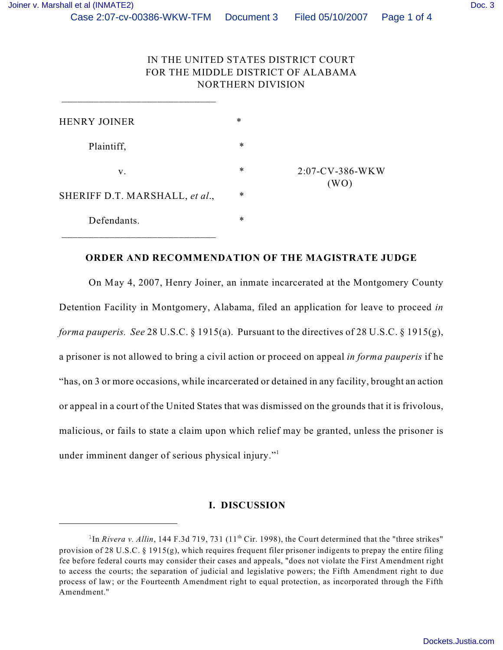## IN THE UNITED STATES DISTRICT COURT FOR THE MIDDLE DISTRICT OF ALABAMA NORTHERN DIVISION

| <b>HENRY JOINER</b>            | $\ast$ |                            |
|--------------------------------|--------|----------------------------|
| Plaintiff,                     | $\ast$ |                            |
| V.                             | $\ast$ | $2:07$ -CV-386-WKW<br>(WO) |
| SHERIFF D.T. MARSHALL, et al., | $\ast$ |                            |
| Defendants.                    | $\ast$ |                            |

 $\frac{1}{2}$  ,  $\frac{1}{2}$  ,  $\frac{1}{2}$  ,  $\frac{1}{2}$  ,  $\frac{1}{2}$  ,  $\frac{1}{2}$  ,  $\frac{1}{2}$  ,  $\frac{1}{2}$  ,  $\frac{1}{2}$  ,  $\frac{1}{2}$  ,  $\frac{1}{2}$  ,  $\frac{1}{2}$  ,  $\frac{1}{2}$  ,  $\frac{1}{2}$  ,  $\frac{1}{2}$  ,  $\frac{1}{2}$  ,  $\frac{1}{2}$  ,  $\frac{1}{2}$  ,  $\frac{1$ 

## **ORDER AND RECOMMENDATION OF THE MAGISTRATE JUDGE**

On May 4, 2007, Henry Joiner, an inmate incarcerated at the Montgomery County Detention Facility in Montgomery, Alabama, filed an application for leave to proceed *in forma pauperis. See* 28 U.S.C. § 1915(a). Pursuant to the directives of 28 U.S.C. § 1915(g), a prisoner is not allowed to bring a civil action or proceed on appeal *in forma pauperis* if he "has, on 3 or more occasions, while incarcerated or detained in any facility, brought an action or appeal in a court of the United States that was dismissed on the grounds that it is frivolous, malicious, or fails to state a claim upon which relief may be granted, unless the prisoner is under imminent danger of serious physical injury."<sup>1</sup>

## **I. DISCUSSION**

<sup>&</sup>lt;sup>1</sup>In *Rivera v. Allin*, 144 F.3d 719, 731 (11<sup>th</sup> Cir. 1998), the Court determined that the "three strikes" provision of 28 U.S.C.  $\S$  1915(g), which requires frequent filer prisoner indigents to prepay the entire filing fee before federal courts may consider their cases and appeals, "does not violate the First Amendment right to access the courts; the separation of judicial and legislative powers; the Fifth Amendment right to due process of law; or the Fourteenth Amendment right to equal protection, as incorporated through the Fifth Amendment."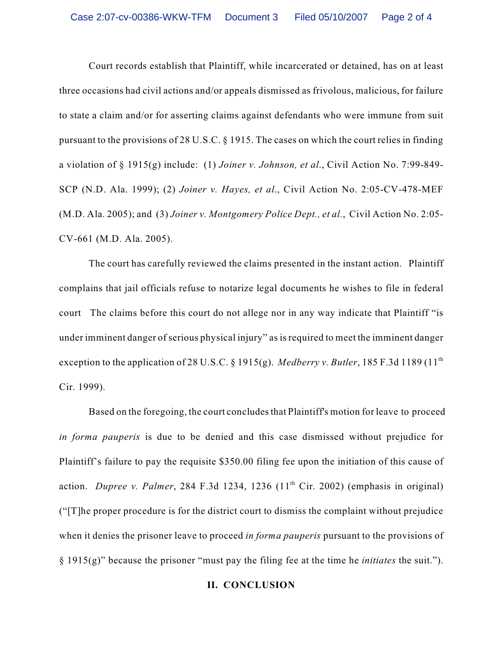Court records establish that Plaintiff, while incarcerated or detained, has on at least three occasions had civil actions and/or appeals dismissed as frivolous, malicious, for failure to state a claim and/or for asserting claims against defendants who were immune from suit pursuant to the provisions of 28 U.S.C. § 1915. The cases on which the court relies in finding a violation of § 1915(g) include: (1) *Joiner v. Johnson, et al*., Civil Action No. 7:99-849- SCP (N.D. Ala. 1999); (2) *Joiner v. Hayes, et al*., Civil Action No. 2:05-CV-478-MEF (M.D. Ala. 2005); and (3) *Joiner v. Montgomery Police Dept., et al.*, Civil Action No. 2:05- CV-661 (M.D. Ala. 2005).

The court has carefully reviewed the claims presented in the instant action. Plaintiff complains that jail officials refuse to notarize legal documents he wishes to file in federal court The claims before this court do not allege nor in any way indicate that Plaintiff "is under imminent danger of serious physical injury" as is required to meet the imminent danger exception to the application of 28 U.S.C. § 1915(g). *Medberry v. Butler*, 185 F.3d 1189 (11<sup>th</sup> Cir. 1999).

 Based on the foregoing, the court concludes that Plaintiff's motion for leave to proceed *in forma pauperis* is due to be denied and this case dismissed without prejudice for Plaintiff's failure to pay the requisite \$350.00 filing fee upon the initiation of this cause of action. *Dupree v. Palmer*, 284 F.3d 1234, 1236  $(11<sup>th</sup> Cir. 2002)$  (emphasis in original) ("[T]he proper procedure is for the district court to dismiss the complaint without prejudice when it denies the prisoner leave to proceed *in forma pauperis* pursuant to the provisions of § 1915(g)" because the prisoner "must pay the filing fee at the time he *initiates* the suit.").

## **II. CONCLUSION**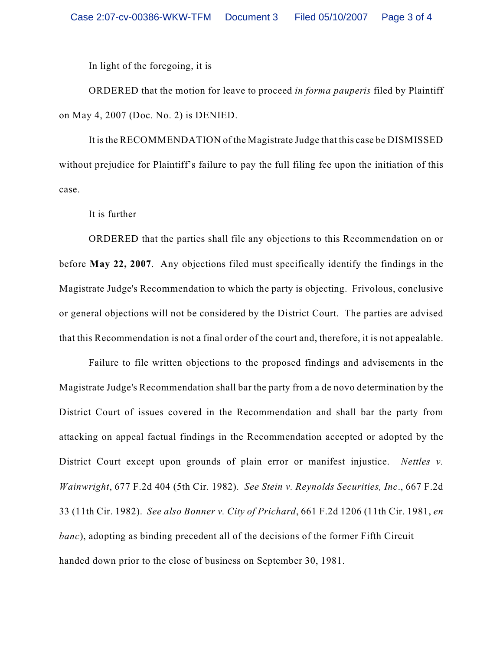In light of the foregoing, it is

ORDERED that the motion for leave to proceed *in forma pauperis* filed by Plaintiff on May 4, 2007 (Doc. No. 2) is DENIED.

It is the RECOMMENDATION of the Magistrate Judge that this case be DISMISSED without prejudice for Plaintiff's failure to pay the full filing fee upon the initiation of this case.

It is further

ORDERED that the parties shall file any objections to this Recommendation on or before **May 22, 2007**. Any objections filed must specifically identify the findings in the Magistrate Judge's Recommendation to which the party is objecting. Frivolous, conclusive or general objections will not be considered by the District Court. The parties are advised that this Recommendation is not a final order of the court and, therefore, it is not appealable.

Failure to file written objections to the proposed findings and advisements in the Magistrate Judge's Recommendation shall bar the party from a de novo determination by the District Court of issues covered in the Recommendation and shall bar the party from attacking on appeal factual findings in the Recommendation accepted or adopted by the District Court except upon grounds of plain error or manifest injustice. *Nettles v. Wainwright*, 677 F.2d 404 (5th Cir. 1982). *See Stein v. Reynolds Securities, Inc*., 667 F.2d 33 (11th Cir. 1982). *See also Bonner v. City of Prichard*, 661 F.2d 1206 (11th Cir. 1981, *en banc*), adopting as binding precedent all of the decisions of the former Fifth Circuit handed down prior to the close of business on September 30, 1981.